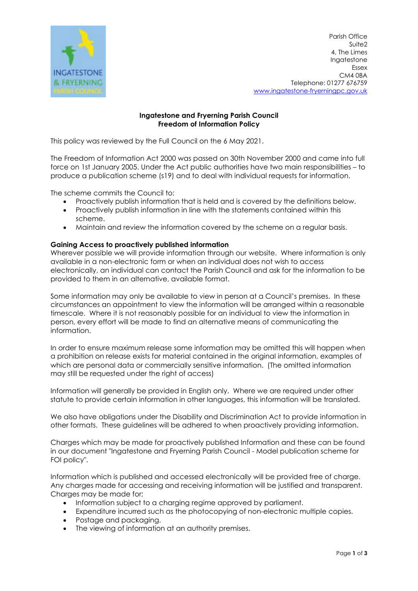

Parish Office Suite2 4, The Limes Ingatestone Essex CM4 0BA Telephone: 01277 676759 www.ingatestone-fryerningpc.gov.uk

# Ingatestone and Fryerning Parish Council Freedom of Information Policy

This policy was reviewed by the Full Council on the 6 May 2021.

The Freedom of Information Act 2000 was passed on 30th November 2000 and came into full force on 1st January 2005. Under the Act public authorities have two main responsibilities – to produce a publication scheme (s19) and to deal with individual requests for information.

The scheme commits the Council to:

- Proactively publish information that is held and is covered by the definitions below.
- Proactively publish information in line with the statements contained within this scheme.
- Maintain and review the information covered by the scheme on a regular basis.

# Gaining Access to proactively published information

Wherever possible we will provide information through our website. Where information is only available in a non-electronic form or when an individual does not wish to access electronically, an individual can contact the Parish Council and ask for the information to be provided to them in an alternative, available format.

Some information may only be available to view in person at a Council's premises. In these circumstances an appointment to view the information will be arranged within a reasonable timescale. Where it is not reasonably possible for an individual to view the information in person, every effort will be made to find an alternative means of communicating the information.

In order to ensure maximum release some information may be omitted this will happen when a prohibition on release exists for material contained in the original information, examples of which are personal data or commercially sensitive information. (The omitted information may still be requested under the right of access)

Information will generally be provided in English only. Where we are required under other statute to provide certain information in other languages, this information will be translated.

We also have obligations under the Disability and Discrimination Act to provide information in other formats. These guidelines will be adhered to when proactively providing information.

Charges which may be made for proactively published Information and these can be found in our document "Ingatestone and Fryerning Parish Council - Model publication scheme for FOI policy".

Information which is published and accessed electronically will be provided free of charge. Any charges made for accessing and receiving information will be justified and transparent. Charges may be made for;

- Information subject to a charging regime approved by parliament.
- Expenditure incurred such as the photocopying of non-electronic multiple copies.
- Postage and packaging.
- The viewing of information at an authority premises.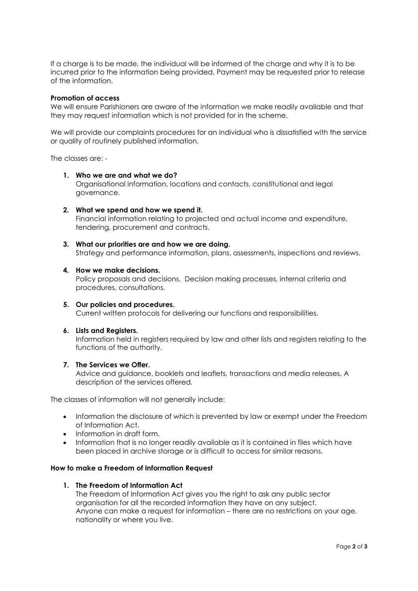If a charge is to be made, the individual will be informed of the charge and why it is to be incurred prior to the information being provided. Payment may be requested prior to release of the information.

# Promotion of access

We will ensure Parishioners are aware of the information we make readily available and that they may request information which is not provided for in the scheme.

We will provide our complaints procedures for an individual who is dissatisfied with the service or quality of routinely published information.

The classes are: -

#### 1. Who we are and what we do?

Organisational information, locations and contacts, constitutional and legal governance.

2. What we spend and how we spend it. Financial information relating to projected and actual income and expenditure, tendering, procurement and contracts.

#### 3. What our priorities are and how we are doing.

Strategy and performance information, plans, assessments, inspections and reviews.

#### 4. How we make decisions.

Policy proposals and decisions. Decision making processes, internal criteria and procedures, consultations.

- 5. Our policies and procedures. Current written protocols for delivering our functions and responsibilities.
- 6. Lists and Registers.

Information held in registers required by law and other lists and registers relating to the functions of the authority.

#### 7. The Services we Offer.

Advice and guidance, booklets and leaflets, transactions and media releases. A description of the services offered.

The classes of information will not generally include:

- Information the disclosure of which is prevented by law or exempt under the Freedom of Information Act.
- Information in draft form.
- Information that is no longer readily available as it is contained in files which have been placed in archive storage or is difficult to access for similar reasons.

# How to make a Freedom of Information Request

# 1. The Freedom of Information Act

The Freedom of Information Act gives you the right to ask any public sector organisation for all the recorded information they have on any subject. Anyone can make a request for information – there are no restrictions on your age, nationality or where you live.